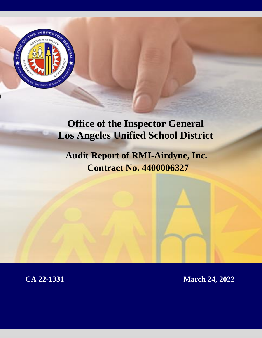

[

# **Office of the Inspector General Los Angeles Unified School District**

**Audit Report of RMI-Airdyne, Inc. Contract No. 4400006327**

**CA 22-1331 March 24, 2022**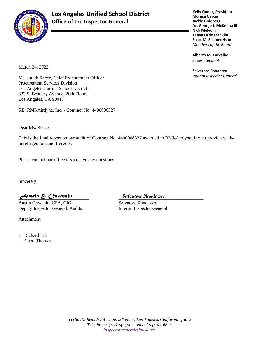# **Los Angeles Unified School District Office of the Inspector General**



**Kelly Gonez, President Mónica García Jackie Goldberg Dr. George J. McKenna III Nick Melvoin Tanya Ortiz Franklin Scott M. Schmerelson** *Members of the Board*

**Alberto M. Carvalho** *Superintendent*

**Salvatore Randazzo** *Interim Inspector General*

March 24, 2022

Ms. Judith Reece, Chief Procurement Officer Procurement Services Division Los Angeles Unified School District 333 S. Beaudry Avenue, 28th Floor, Los Angeles, CA 90017

RE: RMI-Airdyne, Inc. - Contract No. 4400006327

Dear Ms. Reece,

This is the final report on our audit of Contract No. 4400006327 awarded to RMI-Airdyne, Inc. to provide walkin refrigerators and freezers.

Please contact our office if you have any questions.

Sincerely,

\_\_\_\_\_\_\_\_\_\_\_\_\_\_\_\_\_\_\_\_\_\_\_\_\_\_\_\_\_\_ \_\_\_\_\_\_\_\_\_\_\_\_\_\_\_\_\_\_\_\_\_\_\_\_\_\_\_\_\_\_\_\_\_\_\_\_ *Austin E. Onwualu* **Salvatore Randazzo**

Austin Onwualu, CPA, CIG Salvatore Randazzo Deputy Inspector General, Audits **Interim Inspector General** 

Attachment

c: Richard Lui Cheri Thomas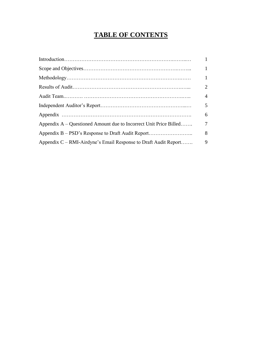# **TABLE OF CONTENTS**

|                                                                   | $\mathbf{1}$   |
|-------------------------------------------------------------------|----------------|
|                                                                   | $\mathbf{1}$   |
|                                                                   | $\overline{2}$ |
|                                                                   | $\overline{4}$ |
|                                                                   | 5              |
|                                                                   | 6              |
| Appendix A – Questioned Amount due to Incorrect Unit Price Billed | $\overline{7}$ |
| Appendix B – PSD's Response to Draft Audit Report                 | 8              |
| Appendix C – RMI-Airdyne's Email Response to Draft Audit Report   | 9              |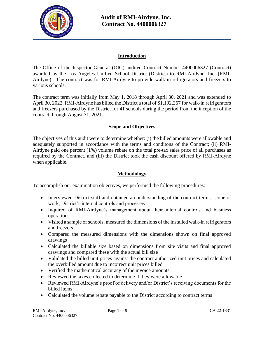

### **Introduction**

The Office of the Inspector General (OIG) audited Contract Number 4400006327 (Contract) awarded by the Los Angeles Unified School District (District) to RMI-Airdyne, Inc. (RMI-Airdyne). The contract was for RMI-Airdyne to provide walk-in refrigerators and freezers to various schools.

The contract term was initially from May 1, 2018 through April 30, 2021 and was extended to April 30, 2022. RMI-Airdyne has billed the District a total of \$1,192,267 for walk-in refrigerators and freezers purchased by the District for 41 schools during the period from the inception of the contract through August 31, 2021.

### **Scope and Objectives**

The objectives of this audit were to determine whether: (i) the billed amounts were allowable and adequately supported in accordance with the terms and conditons of the Contract; (ii) RMI-Airdyne paid one percent (1%) volume rebate on the total pre-tax sales price of all purchases as required by the Contract, and (iii) the District took the cash discount offered by RMI-Airdyne when applicable.

### **Methodology**

To accomplish our examination objectives, we performed the following procedures:

- Interviewed District staff and obtained an understanding of the contract terms, scope of work, District's internal controls and processes
- Inquired of RMI-Airdyne's management about their internal controls and business operations
- Visited a sample of schools, measured the dimensions of the installed walk-in refrigerators and freezers
- Compared the measured dimensions with the dimensions shown on final approved drawings
- Calculated the billable size based on dimensions from site visits and final approved drawings and compared these with the actual bill size
- Validated the billed unit prices against the contract authorized unit prices and calculated the overbilled amount due to incorrect unit prices billed
- Verified the mathematical accuracy of the invoice amounts
- Reviewed the taxes collected to determine if they were allowable
- Reviewed RMI-Airdyne's proof of delivery and/or District's receiving documents for the billed items
- Calculated the volume rebate payable to the District according to contract terms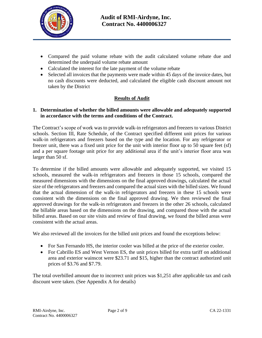

- Compared the paid volume rebate with the audit calculated volume rebate due and determined the underpaid volume rebate amount
- Calculated the interest for the late payment of the volume rebate
- Selected all invoices that the payments were made within 45 days of the invoice dates, but no cash discounts were deducted, and calculated the eligible cash discount amount not taken by the District

### **Results of Audit**

### **1. Determination of whether the billed amounts were allowable and adequately supported in accordance with the terms and conditions of the Contract.**

The Contract's scope of work was to provide walk-in refrigerators and freezers to various District schools. Section III, Rate Schedule, of the Contract specified different unit prices for various walk-in refrigerators and freezers based on the type and the location. For any refrigerator or freezer unit, there was a fixed unit price for the unit with interior floor up to 50 square feet (sf) and a per square footage unit price for any additional area if the unit's interior floor area was larger than 50 sf.

To determine if the billed amounts were allowable and adequately supported, we visited 15 schools, measured the walk-in refrigerators and freezers in those 15 schools, compared the measured dimensions with the dimensions on the final approved drawings, calculated the actual size of the refrigerators and freezers and compared the actual sizes with the billed sizes. We found that the actual dimension of the walk-in refrigerators and freezers in these 15 schools were consistent with the dimensions on the final approved drawing. We then reviewed the final approved drawings for the walk-in refrigerators and freezers in the other 26 schools, calculated the billable areas based on the dimensions on the drawing, and compared those with the actual billed areas. Based on our site visits and review of final drawing, we found the billed areas were consistent with the actual areas.

We also reviewed all the invoices for the billed unit prices and found the exceptions below:

- For San Fernando HS, the interior cooler was billed at the price of the exterior cooler.
- For Cabrillo ES and West Vernon ES, the unit prices billed for extra tariff on additional area and exterior wainscot were \$23.71 and \$15, higher than the contract authorized unit prices of \$3.76 and \$7.79.

The total overbilled amount due to incorrect unit prices was \$1,251 after applicable tax and cash discount were taken. (See Appendix A for details)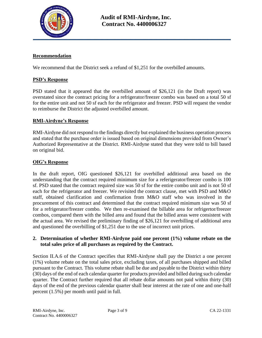

### **Recommendation**

We recommend that the District seek a refund of \$1,251 for the overbilled amounts.

### **PSD's Response**

PSD stated that it appeared that the overbilled amount of \$26,121 (in the Draft report) was overstated since the contract pricing for a refrigerator/freezer combo was based on a total 50 sf for the entire unit and not 50 sf each for the refrigerator and freezer. PSD will request the vendor to reimburse the District the adjusted overbilled amount.

### **RMI-Airdyne's Response**

RMI-Airdyne did not respond to the findings directly but explained the business operation process and stated that the purchase order is issued based on original dimensions provided from Owner's Authorized Representative at the District. RMI-Airdyne stated that they were told to bill based on original bid.

### **OIG's Response**

In the draft report, OIG questioned \$26,121 for overbilled additional area based on the understanding that the contract required minimum size for a referigerator/freezer combo is 100 sf. PSD stated that the contract required size was 50 sf for the entire combo unit and is not 50 sf each for the refrigerator and freezer. We revisited the contract clause, met with PSD and M&O staff, obtained clarification and confirmation from M&O staff who was involved in the procurement of this contract and determined that the contract required minimum size was 50 sf for a refrigerator/freezer combo. We then re-examined the billable area for refrigertor/freezer combos, compared them with the billed area and found that the billed areas were consistent with the actual area. We revised the preliminary finding of \$26,121 for overbilling of additional area and questioned the overbilling of \$1,251 due to the use of incorrect unit prices.

### **2. Determination of whether RMI-Airdyne paid one percent (1%) volume rebate on the total sales price of all purchases as required by the Contract.**

Section II.A.6 of the Contract specifies that RMI-Airdyne shall pay the District a one percent (1%) volume rebate on the total sales price, excluding taxes, of all purchases shipped and billed pursuant to the Contract. This volume rebate shall be due and payable to the District within thirty (30) days of the end of each calendar quarter for products provided and billed during such calendar quarter. The Contract further required that all rebate dollar amounts not paid within thirty (30) days of the end of the previous calendar quarter shall bear interest at the rate of one and one-half percent (1.5%) per month until paid in full.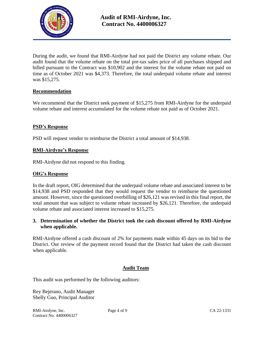

During the audit, we found that RMI-Airdyne had not paid the District any volume rebate. Our audit found that the volume rebate on the total pre-tax sales price of all purchases shipped and billed pursuant to the Contract was \$10,902 and the interest for the volume rebate not paid on time as of October 2021 was \$4,373. Therefore, the total underpaid volume rebate and interest was \$15,275.

### **Recommendation**

We recommend that the District seek payment of \$15,275 from RMI-Airdyne for the underpaid volume rebate and interest accumulated for the volume rebate not paid as of October 2021.

### **PSD's Response**

PSD will request vendor to reimburse the District a total amount of \$14,938.

### **RMI-Airdyne's Response**

RMI-Airdyne did not respond to this finding.

#### **OIG's Response**

In the draft report, OIG determined that the underpaid volume rebate and associated interest to be \$14,938 and PSD responded that they would request the vendor to reimburse the questioned amount. However, since the questioned overbilling of \$26,121 was revised in this final report, the total amount that was subject to volume rebate increased by \$26,121. Therefore, the underpaid volume rebate and associated interest increased to \$15,275.

### **3. Determination of whether the District took the cash discount offered by RMI-Airdyne when applicable.**

RMI-Airdyne offered a cash discount of 2% for payments made within 45 days on its bid to the District. Our review of the payment record found that the District had taken the cash discount when applicable.

### **Audit Team**

This audit was performed by the following auditors:

Rey Bejerano, Audit Manager Shelly Guo, Principal Auditor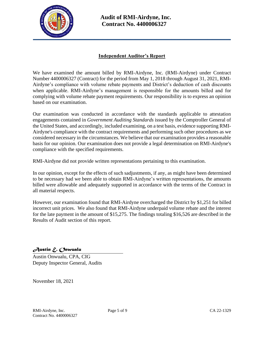

### **Audit of RMI-Airdyne, Inc. Contract No. 4400006327**

### **Independent Auditor's Report**

We have examined the amount billed by RMI-Airdyne, Inc. (RMI-Airdyne) under Contract Number 4400006327 (Contract) for the period from May 1, 2018 through August 31, 2021, RMI-Airdyne's compliance with volume rebate payments and District's deduction of cash discounts when applicable. RMI-Airdyne's management is responsible for the amounts billed and for complying with volume rebate payment requirements. Our responsibility is to express an opinion based on our examination.

Our examination was conducted in accordance with the standards applicable to attestation engagements contained in *Government Auditing Standards* issued by the Comptroller General of the United States, and accordingly, included examining, on a test basis, evidence supporting RMI-Airdyne's compliance with the contract requirements and performing such other procedures as we considered necessary in the circumstances. We believe that our examination provides a reasonable basis for our opinion. Our examination does not provide a legal determination on RMI-Airdyne's compliance with the specified requirements.

RMI-Airdyne did not provide written representations pertaining to this examination.

In our opinion, except for the effects of such sadjustments, if any, as might have been determined to be necessary had we been able to obtain RMI-Airdyne's written representations, the amounts billed were allowable and adequately supported in accordance with the terms of the Contract in all material respects.

However, our examination found that RMI-Airdyne overcharged the District by \$1,251 for billed incorrect unit prices. We also found that RMI-Airdyne underpaid volume rebate and the interest for the late payment in the amount of \$15,275. The findings totaling \$16,526 are described in the Results of Audit section of this report.

*Austin E. Onwualu*

Austin Onwualu, CPA, CIG Deputy Inspector General, Audits

November 18, 2021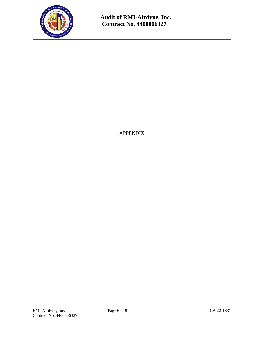

APPENDIX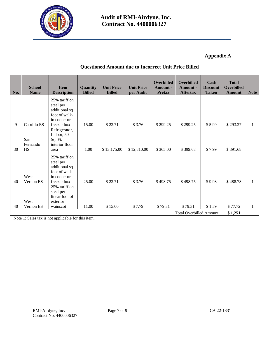

### **Appendix A**

### **Questioned Amount due to Incorrect Unit Price Billed**

| No.                            | <b>School</b><br><b>Name</b> | <b>Item</b><br><b>Description</b>                                                           | Quantity<br><b>Billed</b> | <b>Unit Price</b><br><b>Billed</b> | <b>Unit Price</b><br>per Audit | Overbilled<br>Amount -<br><b>Pretax</b> | <b>Overbilled</b><br>Amount -<br><b>Aftertax</b> | Cash<br><b>Discount</b><br><b>Taken</b> | <b>Total</b><br><b>Overbilled</b><br><b>Amount</b> | <b>Note</b> |
|--------------------------------|------------------------------|---------------------------------------------------------------------------------------------|---------------------------|------------------------------------|--------------------------------|-----------------------------------------|--------------------------------------------------|-----------------------------------------|----------------------------------------------------|-------------|
| 9                              | Cabrillo ES                  | 25% tariff on<br>steel per<br>additional sq<br>foot of walk-<br>in cooler or<br>freezer box | 15.00                     | \$23.71                            | \$3.76                         | \$299.25                                | \$299.25                                         | \$5.99                                  | \$293.27                                           | 1           |
| 30                             | San<br>Fernando<br>$\rm HS$  | Refrigerator,<br>Indoor, 50<br>Sq. Ft.<br>interior floor<br>area                            | 1.00                      | \$13,175.00                        | \$12,810.00                    | \$365.00                                | \$399.68                                         | \$7.99                                  | \$391.68                                           |             |
| 40                             | West<br>Vernon ES            | 25% tariff on<br>steel per<br>additional sq<br>foot of walk-<br>in cooler or<br>freezer box | 25.00                     | \$23.71                            | \$3.76                         | \$498.75                                | \$498.75                                         | \$9.98                                  | \$488.78                                           |             |
| 40                             | West<br>Vernon ES            | 25% tariff on<br>steel per<br>linear foot of<br>exterior<br>wainscot                        | 11.00                     | \$15.00                            | \$7.79                         | \$79.31                                 | \$79.31                                          | \$1.59                                  | \$77.72                                            | 1           |
| <b>Total Overbilled Amount</b> |                              |                                                                                             |                           |                                    |                                |                                         |                                                  |                                         | \$1,251                                            |             |

Note 1: Sales tax is not applicable for this item.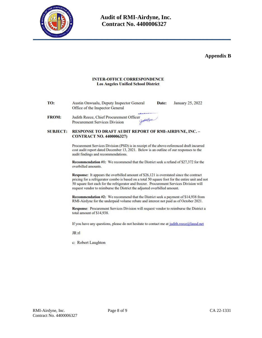

#### **Appendix B**

#### **INTER-OFFICE CORRESPONDENCE Los Angeles Unified School District**

TO: Austin Onwualu, Deputy Inspector General Date: January 25, 2022 Office of the Inspector General

**FROM:** Judith Reece, Chief Procurement Officer r<br>Judithique **Procurement Services Division** 

#### RESPONSE TO DRAFT AUDIT REPORT OF RMI-AIRDYNE, INC. -**SUBJECT: CONTRACT NO. 4400006327)**

Procurement Services Division (PSD) is in receipt of the above-referenced draft incurred cost audit report dated December 13, 2021. Below is an outline of our responses to the audit findings and recommendations.

Recommendation #1: We recommend that the District seek a refund of \$27,372 for the overbilled amounts.

Response: It appears the overbilled amount of \$26,121 is overstated since the contract pricing for a refrigerator combo is based on a total 50 square foot for the entire unit and not 50 square feet each for the refrigerator and freezer. Procurement Services Division will request vendor to reimburse the District the adjusted overbilled amount.

Recommendation #2: We recommend that the District seek a payment of \$14,938 from RMI-Airdyne for the underpaid volume rebate and interest not paid as of October 2021.

Response: Procurement Services Division will request vendor to reimburse the District a total amount of \$14,938.

If you have any questions, please do not hesitate to contact me at judith.reece@lausd.net

JR:rl

c: Robert Laughton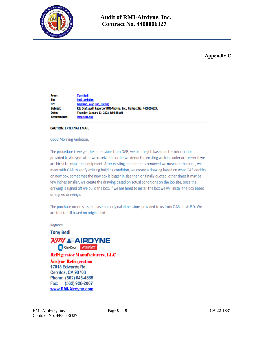

### **Audit of RMI-Airdyne, Inc. Contract No. 4400006327**

### **Appendix C**

From: **Tony Bedi Padi, Ambition** To: Bejerano, Rey; Guo, Haiying Сc RE: Draft Audit Report of RMI-Airdyne, Inc., Contract No. 4400006327. Subject: Date: Thursday, January 13, 2022 8:56:58 AM **Attachments:** image001.png

#### **CAUTION: EXTERNAL EMAIL**

#### Good Morning Ambition,

The procedure is we get the dimensions from OAR, we bid the job based on the information provided to Airdyne. After we receive the order we demo the existing walk in cooler or freezer if we are hired to install the equipment. After existing equipment is removed we measure the area, we meet with OAR to verify existing building condition, we create a drawing based on what OAR decides on new box, sometimes the new box is bigger in size then originally quoted, other times it may be few inches smaller, we create the drawing based on actual conditions on the job site, once the drawing is signed off we build the box, if we are hired to install the box we will install the box based on signed drawings.

The purchase order is issued based on original dimensions provided to us from OAR at LAUSD. We are told to bill based on original bid.

### Regards, **Tony Bedi** *RMI'A AIRDYNE* ClarkDoor Comproud **Refrigerator Manufacturers, LLC Airdyne Refrigeration** 17018 Edwards Rd. Cerritos, CA 90703 Phone: (562) 645-4668 (562) 926-2007 Fax: www.RMI-Airdyne.com